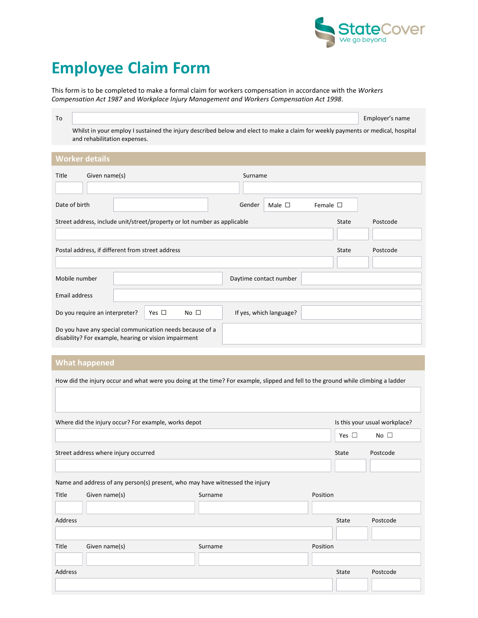

## Employee Claim Form

This form is to be completed to make a formal claim for workers compensation in accordance with the Workers Compensation Act 1987 and Workplace Injury Management and Workers Compensation Act 1998.

|                                                                                                                                 | Employer's name |
|---------------------------------------------------------------------------------------------------------------------------------|-----------------|
| Whilst in your employ I sustained the injury described below and elect to make a claim for weekly payments or medical, hospital |                 |

and rehabilitation expenses.

| <b>TEATHER ACTIVE</b>                                                                                             |                                                  |                                                                          |                        |                         |                  |       |          |
|-------------------------------------------------------------------------------------------------------------------|--------------------------------------------------|--------------------------------------------------------------------------|------------------------|-------------------------|------------------|-------|----------|
| Title                                                                                                             | Given name(s)                                    |                                                                          | Surname                |                         |                  |       |          |
| Date of birth                                                                                                     |                                                  |                                                                          | Gender                 | Male $\square$          | Female $\square$ |       |          |
|                                                                                                                   |                                                  | Street address, include unit/street/property or lot number as applicable |                        |                         |                  | State | Postcode |
|                                                                                                                   | Postal address, if different from street address |                                                                          |                        |                         |                  | State | Postcode |
|                                                                                                                   |                                                  |                                                                          |                        |                         |                  |       |          |
| Mobile number                                                                                                     |                                                  |                                                                          | Daytime contact number |                         |                  |       |          |
| Email address                                                                                                     |                                                  |                                                                          |                        |                         |                  |       |          |
|                                                                                                                   | Do you require an interpreter?                   | Yes $\square$<br>No $\square$                                            |                        | If yes, which language? |                  |       |          |
| Do you have any special communication needs because of a<br>disability? For example, hearing or vision impairment |                                                  |                                                                          |                        |                         |                  |       |          |

## What happened

How did the injury occur and what were you doing at the time? For example, slipped and fell to the ground while climbing a ladder

|         | Where did the injury occur? For example, works depot                         | Is this your usual workplace? |          |               |              |
|---------|------------------------------------------------------------------------------|-------------------------------|----------|---------------|--------------|
|         |                                                                              |                               |          | Yes $\square$ | No $\square$ |
|         | Street address where injury occurred                                         |                               |          | State         | Postcode     |
|         |                                                                              |                               |          |               |              |
|         | Name and address of any person(s) present, who may have witnessed the injury |                               |          |               |              |
| Title   | Given name(s)                                                                | Surname                       | Position |               |              |
|         |                                                                              |                               |          |               |              |
| Address |                                                                              |                               |          | State         | Postcode     |
|         |                                                                              |                               |          |               |              |
| Title   | Given name(s)                                                                | Surname                       | Position |               |              |
|         |                                                                              |                               |          |               |              |
| Address |                                                                              |                               |          | State         | Postcode     |
|         |                                                                              |                               |          |               |              |
|         |                                                                              |                               |          |               |              |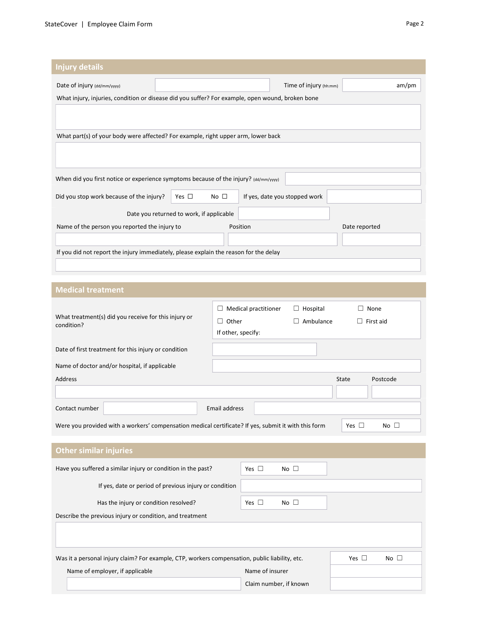| <b>Injury details</b>                                                                            |                                          |                               |               |  |  |  |  |  |
|--------------------------------------------------------------------------------------------------|------------------------------------------|-------------------------------|---------------|--|--|--|--|--|
| Date of injury (dd/mm/yyyy)                                                                      |                                          | Time of injury (hh:mm)        | am/m          |  |  |  |  |  |
| What injury, injuries, condition or disease did you suffer? For example, open wound, broken bone |                                          |                               |               |  |  |  |  |  |
|                                                                                                  |                                          |                               |               |  |  |  |  |  |
|                                                                                                  |                                          |                               |               |  |  |  |  |  |
| What part(s) of your body were affected? For example, right upper arm, lower back                |                                          |                               |               |  |  |  |  |  |
|                                                                                                  |                                          |                               |               |  |  |  |  |  |
|                                                                                                  |                                          |                               |               |  |  |  |  |  |
| When did you first notice or experience symptoms because of the injury? (dd/mm/yyyy)             |                                          |                               |               |  |  |  |  |  |
| Did you stop work because of the injury?                                                         | No $\square$<br>Yes $\Box$               | If yes, date you stopped work |               |  |  |  |  |  |
|                                                                                                  | Date you returned to work, if applicable |                               |               |  |  |  |  |  |
| Name of the person you reported the injury to                                                    |                                          | Position                      | Date reported |  |  |  |  |  |
|                                                                                                  |                                          |                               |               |  |  |  |  |  |
| If you did not report the injury immediately, please explain the reason for the delay            |                                          |                               |               |  |  |  |  |  |

## Medical treatment What treatment(s) did you receive for this injury or condition? ☐ Medical practitioner ☐ Hospital ☐ None ☐ Other ☐ Ambulance ☐ First aid If other, specify: Date of first treatment for this injury or condition Name of doctor and/or hospital, if applicable Address State Postcode Contact number **Email address** Were you provided with a workers' compensation medical certificate? If yes, submit it with this form Yes □ No □ Other similar injuries Have you suffered a similar injury or condition in the past? Yes  $\Box$  No  $\Box$ If yes, date or period of previous injury or condition Has the injury or condition resolved?  $Yes \Box$  No  $\Box$ Describe the previous injury or condition, and treatment

| Was it a personal injury claim? For example, CTP, workers compensation, public liability, etc. | Yes $\Box$             | $No$ $\Box$ |  |
|------------------------------------------------------------------------------------------------|------------------------|-------------|--|
| Name of employer, if applicable                                                                | Name of insurer        |             |  |
|                                                                                                | Claim number, if known |             |  |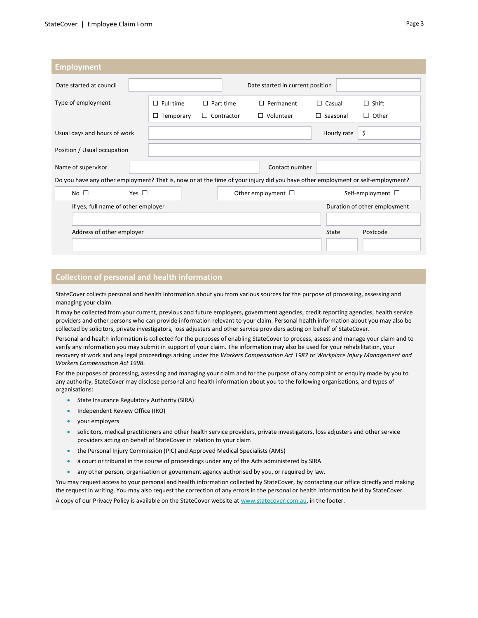| <b>Employment</b>                                                                                                              |                  |                   |  |                                  |                 |                              |  |
|--------------------------------------------------------------------------------------------------------------------------------|------------------|-------------------|--|----------------------------------|-----------------|------------------------------|--|
|                                                                                                                                |                  |                   |  |                                  |                 |                              |  |
| Date started at council                                                                                                        |                  |                   |  | Date started in current position |                 |                              |  |
| Type of employment                                                                                                             | $\Box$ Full time | $\Box$ Part time  |  | $\Box$ Permanent                 | $\Box$ Casual   | $\Box$ Shift                 |  |
|                                                                                                                                | Temporary<br>⊔   | $\Box$ Contractor |  | $\Box$ Volunteer                 | $\Box$ Seasonal | $\Box$ Other                 |  |
| Usual days and hours of work                                                                                                   |                  |                   |  |                                  | Hourly rate     | \$                           |  |
| Position / Usual occupation                                                                                                    |                  |                   |  |                                  |                 |                              |  |
| Name of supervisor                                                                                                             |                  |                   |  | Contact number                   |                 |                              |  |
| Do you have any other employment? That is, now or at the time of your injury did you have other employment or self-employment? |                  |                   |  |                                  |                 |                              |  |
| Yes $\square$<br>No $\square$                                                                                                  |                  |                   |  | Other employment $\Box$          |                 | Self-employment $\square$    |  |
| If yes, full name of other employer                                                                                            |                  |                   |  |                                  |                 | Duration of other employment |  |
|                                                                                                                                |                  |                   |  |                                  |                 |                              |  |
| Address of other employer                                                                                                      |                  |                   |  |                                  | State           | Postcode                     |  |
|                                                                                                                                |                  |                   |  |                                  |                 |                              |  |

## Collection of personal and health information

StateCover collects personal and health information about you from various sources for the purpose of processing, assessing and managing your claim.

It may be collected from your current, previous and future employers, government agencies, credit reporting agencies, health service providers and other persons who can provide information relevant to your claim. Personal health information about you may also be collected by solicitors, private investigators, loss adjusters and other service providers acting on behalf of StateCover.

Personal and health information is collected for the purposes of enabling StateCover to process, assess and manage your claim and to verify any information you may submit in support of your claim. The information may also be used for your rehabilitation, your recovery at work and any legal proceedings arising under the Workers Compensation Act 1987 or Workplace Injury Management and Workers Compensation Act 1998.

For the purposes of processing, assessing and managing your claim and for the purpose of any complaint or enquiry made by you to any authority, StateCover may disclose personal and health information about you to the following organisations, and types of organisations:

- State Insurance Regulatory Authority (SIRA)
- Independent Review Office (IRO)
- your employers
- solicitors, medical practitioners and other health service providers, private investigators, loss adjusters and other service providers acting on behalf of StateCover in relation to your claim
- the Personal Injury Commission (PIC) and Approved Medical Specialists (AMS)
- a court or tribunal in the course of proceedings under any of the Acts administered by SIRA
- any other person, organisation or government agency authorised by you, or required by law.

You may request access to your personal and health information collected by StateCover, by contacting our office directly and making the request in writing. You may also request the correction of any errors in the personal or health information held by StateCover.

A copy of our Privacy Policy is available on the StateCover website at www.statecover.com.au, in the footer.